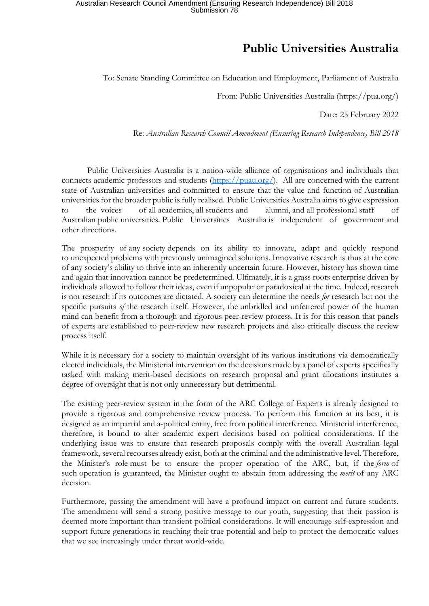## **Public Universities Australia**

To: Senate Standing Committee on Education and Employment, Parliament of Australia

From: Public Universities Australia (https://pua.org/)

Date: 25 February 2022

Re: *Australian Research Council Amendment (Ensuring Research Independence) Bill 2018*

Public Universities Australia is a nation-wide alliance of organisations and individuals that connects academic professors and students (https://puau.org/). All are concerned with the current state of Australian universities and committed to ensure that the value and function of Australian universities for the broader public is fully realised. Public Universities Australia aims to give expression to the voices of all academics, all students and alumni, and all professional staff of Australian public universities. Public Universities Australia is independent of government and other directions.

The prosperity of any society depends on its ability to innovate, adapt and quickly respond to unexpected problems with previously unimagined solutions. Innovative research is thus at the core of any society's ability to thrive into an inherently uncertain future. However, history has shown time and again that innovation cannot be predetermined. Ultimately, it is a grass roots enterprise driven by individuals allowed to follow their ideas, even if unpopular or paradoxical at the time. Indeed, research is not research if its outcomes are dictated. A society can determine the needs *for* research but not the specific pursuits *of* the research itself. However, the unbridled and unfettered power of the human mind can benefit from a thorough and rigorous peer-review process. It is for this reason that panels of experts are established to peer-review new research projects and also critically discuss the review process itself.

While it is necessary for a society to maintain oversight of its various institutions via democratically elected individuals, the Ministerial intervention on the decisions made by a panel of experts specifically tasked with making merit-based decisions on research proposal and grant allocations institutes a degree of oversight that is not only unnecessary but detrimental.

The existing peer-review system in the form of the ARC College of Experts is already designed to provide a rigorous and comprehensive review process. To perform this function at its best, it is designed as an impartial and a-political entity, free from political interference. Ministerial interference, therefore, is bound to alter academic expert decisions based on political considerations. If the underlying issue was to ensure that research proposals comply with the overall Australian legal framework, several recourses already exist, both at the criminal and the administrative level. Therefore, the Minister's role must be to ensure the proper operation of the ARC, but, if the *form* of such operation is guaranteed, the Minister ought to abstain from addressing the *merit* of any ARC decision.

Furthermore, passing the amendment will have a profound impact on current and future students. The amendment will send a strong positive message to our youth, suggesting that their passion is deemed more important than transient political considerations. It will encourage self-expression and support future generations in reaching their true potential and help to protect the democratic values that we see increasingly under threat world-wide.